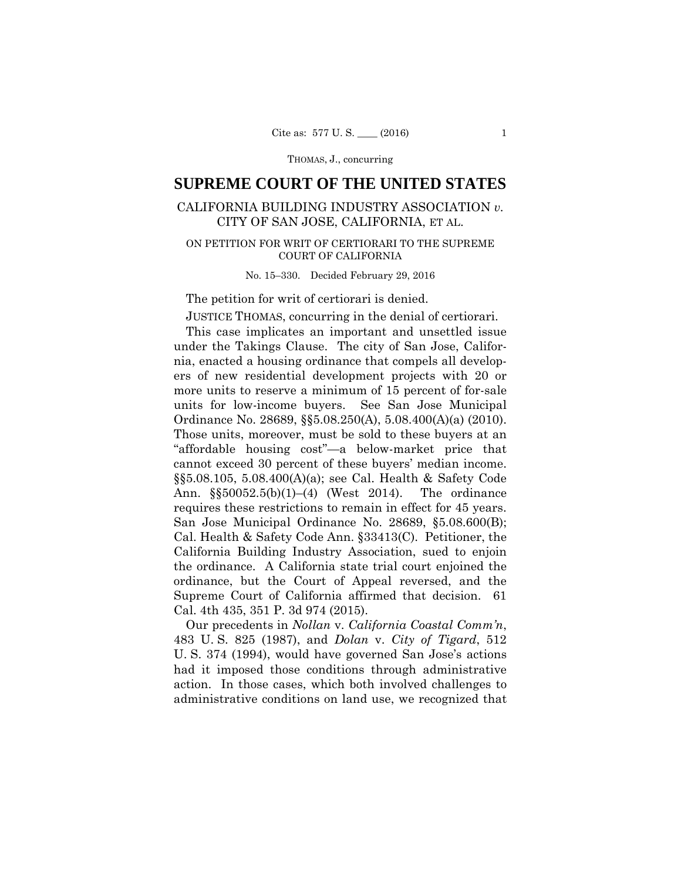THOMAS, J., concurring

# **SUPREME COURT OF THE UNITED STATES**

## CALIFORNIA BUILDING INDUSTRY ASSOCIATION *v.*  CITY OF SAN JOSE, CALIFORNIA, ET AL.

## ON PETITION FOR WRIT OF CERTIORARI TO THE SUPREME COURT OF CALIFORNIA

#### No. 15–330. Decided February 29, 2016

## The petition for writ of certiorari is denied.

JUSTICE THOMAS, concurring in the denial of certiorari.

 cannot exceed 30 percent of these buyers' median income. requires these restrictions to remain in effect for 45 years. This case implicates an important and unsettled issue under the Takings Clause. The city of San Jose, California, enacted a housing ordinance that compels all developers of new residential development projects with 20 or more units to reserve a minimum of 15 percent of for-sale units for low-income buyers. See San Jose Municipal Ordinance No. 28689, §§5.08.250(A), 5.08.400(A)(a) (2010). Those units, moreover, must be sold to these buyers at an "affordable housing cost"—a below-market price that §§5.08.105, 5.08.400(A)(a); see Cal. Health & Safety Code Ann. §§50052.5(b)(1)–(4) (West 2014). The ordinance San Jose Municipal Ordinance No. 28689, §5.08.600(B); Cal. Health & Safety Code Ann. §33413(C). Petitioner, the California Building Industry Association, sued to enjoin the ordinance. A California state trial court enjoined the ordinance, but the Court of Appeal reversed, and the Supreme Court of California affirmed that decision. 61 Cal. 4th 435, 351 P. 3d 974 (2015).

Our precedents in *Nollan* v. *California Coastal Comm'n*, 483 U. S. 825 (1987), and *Dolan* v. *City of Tigard*, 512 U. S. 374 (1994), would have governed San Jose's actions had it imposed those conditions through administrative action. In those cases, which both involved challenges to administrative conditions on land use, we recognized that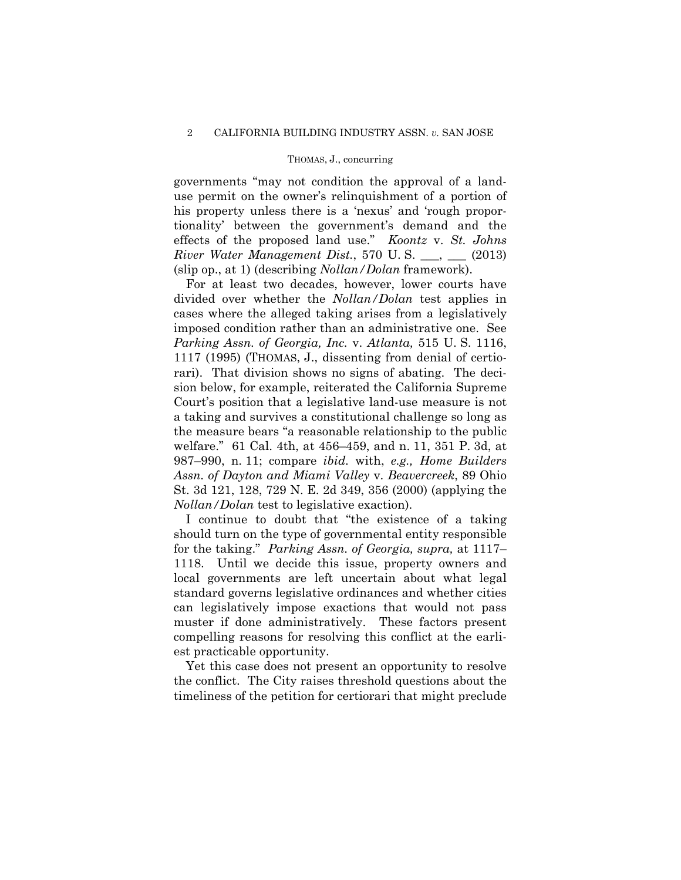#### THOMAS, J., concurring

governments "may not condition the approval of a landuse permit on the owner's relinquishment of a portion of his property unless there is a 'nexus' and 'rough proportionality' between the government's demand and the effects of the proposed land use." *Koontz* v. *St. Johns River Water Management Dist.*, 570 U.S. \_\_\_, \_\_ (2013) (slip op., at 1) (describing *Nollan/Dolan* framework).

For at least two decades, however, lower courts have divided over whether the *Nollan/Dolan* test applies in cases where the alleged taking arises from a legislatively imposed condition rather than an administrative one. See *Parking Assn. of Georgia, Inc.* v. *Atlanta,* 515 U. S. 1116, 1117 (1995) (THOMAS, J., dissenting from denial of certiorari). That division shows no signs of abating. The decision below, for example, reiterated the California Supreme Court's position that a legislative land-use measure is not a taking and survives a constitutional challenge so long as the measure bears "a reasonable relationship to the public welfare." 61 Cal. 4th, at 456–459, and n. 11, 351 P. 3d, at 987–990, n. 11; compare *ibid.* with, *e.g., Home Builders Assn. of Dayton and Miami Valley* v. *Beavercreek*, 89 Ohio St. 3d 121, 128, 729 N. E. 2d 349, 356 (2000) (applying the *Nollan/Dolan* test to legislative exaction).

I continue to doubt that "the existence of a taking should turn on the type of governmental entity responsible for the taking." *Parking Assn. of Georgia, supra,* at 1117– 1118. Until we decide this issue, property owners and local governments are left uncertain about what legal standard governs legislative ordinances and whether cities can legislatively impose exactions that would not pass muster if done administratively. These factors present compelling reasons for resolving this conflict at the earliest practicable opportunity.

Yet this case does not present an opportunity to resolve the conflict. The City raises threshold questions about the timeliness of the petition for certiorari that might preclude